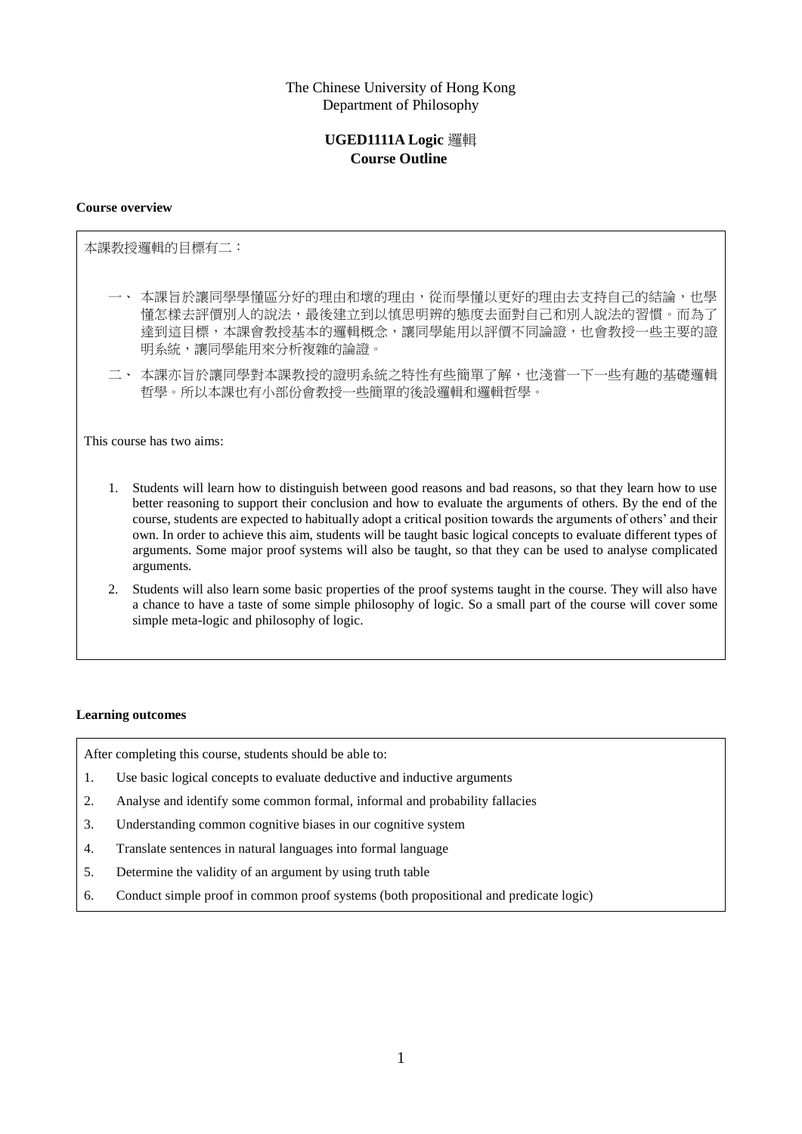# The Chinese University of Hong Kong Department of Philosophy

# **UGED1111A Logic** 邏輯 **Course Outline**

#### **Course overview**

本課教授邏輯的目標有二:

- 一、 本課旨於讓同學學懂區分好的理由和壞的理由,從而學懂以更好的理由去支持自己的結論,也學 懂怎樣去評價別人的說法,最後建立到以慎思明辨的態度去面對自己和別人說法的習慣。而為了 達到這目標,本課會教授基本的邏輯概念,讓同學能用以評價不同論證,也會教授一些主要的證 明系統,讓同學能用來分析複雜的論證。
- 二、 本課亦旨於讓同學對本課教授的證明系統之特性有些簡單了解,也淺嘗一下一些有趣的基礎邏輯 哲學。所以本課也有小部份會教授一些簡單的後設邏輯和邏輯哲學。

This course has two aims:

- 1. Students will learn how to distinguish between good reasons and bad reasons, so that they learn how to use better reasoning to support their conclusion and how to evaluate the arguments of others. By the end of the course, students are expected to habitually adopt a critical position towards the arguments of others' and their own. In order to achieve this aim, students will be taught basic logical concepts to evaluate different types of arguments. Some major proof systems will also be taught, so that they can be used to analyse complicated arguments.
- 2. Students will also learn some basic properties of the proof systems taught in the course. They will also have a chance to have a taste of some simple philosophy of logic. So a small part of the course will cover some simple meta-logic and philosophy of logic.

#### **Learning outcomes**

After completing this course, students should be able to:

- 1. Use basic logical concepts to evaluate deductive and inductive arguments
- 2. Analyse and identify some common formal, informal and probability fallacies
- 3. Understanding common cognitive biases in our cognitive system
- 4. Translate sentences in natural languages into formal language
- 5. Determine the validity of an argument by using truth table
- 6. Conduct simple proof in common proof systems (both propositional and predicate logic)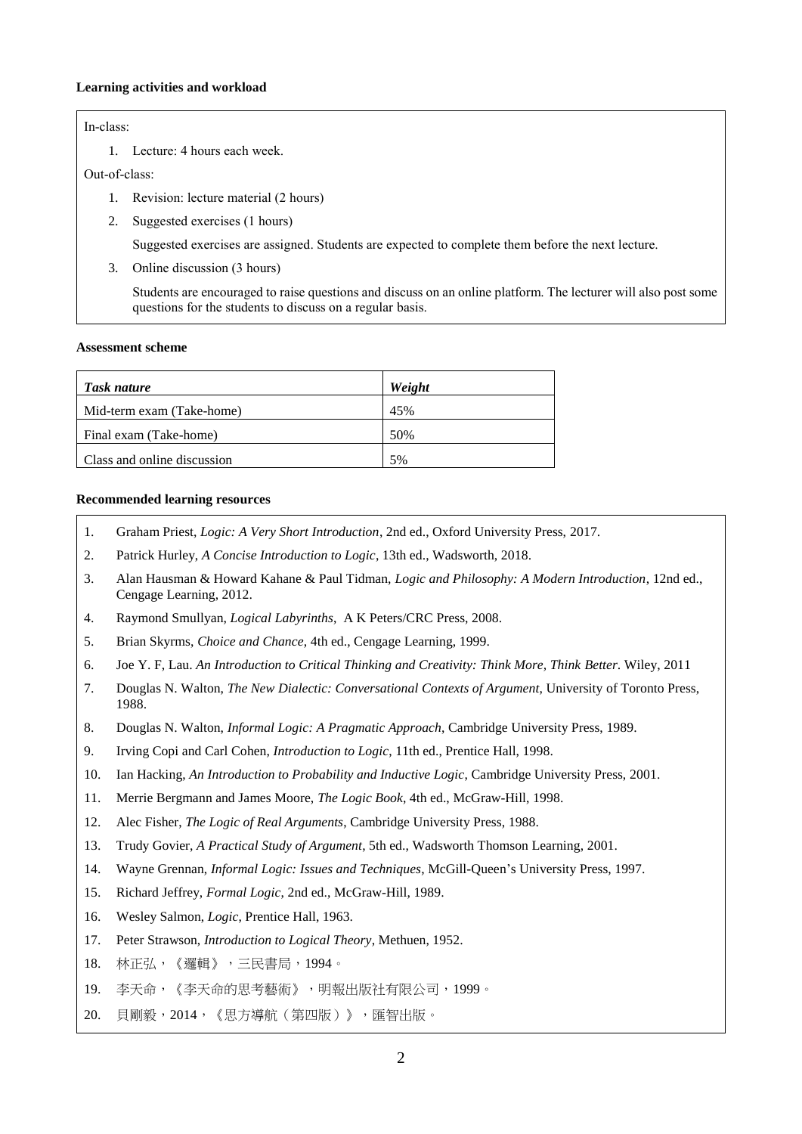### **Learning activities and workload**

## In-class:

1. Lecture: 4 hours each week.

#### Out-of-class:

- 1. Revision: lecture material (2 hours)
- 2. Suggested exercises (1 hours)

Suggested exercises are assigned. Students are expected to complete them before the next lecture.

3. Online discussion (3 hours)

Students are encouraged to raise questions and discuss on an online platform. The lecturer will also post some questions for the students to discuss on a regular basis.

### **Assessment scheme**

| Task nature                 | Weight |
|-----------------------------|--------|
| Mid-term exam (Take-home)   | 45%    |
| Final exam (Take-home)      | 50%    |
| Class and online discussion | 5%     |

## **Recommended learning resources**

- 1. Graham Priest, *Logic: A Very Short Introduction*, 2nd ed., Oxford University Press, 2017.
- 2. Patrick Hurley, *A Concise Introduction to Logic*, 13th ed., Wadsworth, 2018.
- 3. Alan Hausman & Howard Kahane & Paul Tidman, *Logic and Philosophy: A Modern Introduction*, 12nd ed., Cengage Learning, 2012.
- 4. Raymond Smullyan, *Logical Labyrinths*, A K Peters/CRC Press, 2008.
- 5. Brian Skyrms, *Choice and Chance*, 4th ed., Cengage Learning, 1999.
- 6. Joe Y. F, Lau. *An Introduction to Critical Thinking and Creativity: Think More, Think Better*. Wiley, 2011
- 7. Douglas N. Walton, *The New Dialectic: Conversational Contexts of Argument*, University of Toronto Press, 1988.
- 8. Douglas N. Walton, *Informal Logic: A Pragmatic Approach*, Cambridge University Press, 1989.
- 9. Irving Copi and Carl Cohen, *Introduction to Logic*, 11th ed., Prentice Hall, 1998.
- 10. Ian Hacking, *An Introduction to Probability and Inductive Logic*, Cambridge University Press, 2001.
- 11. Merrie Bergmann and James Moore, *The Logic Book*, 4th ed., McGraw-Hill, 1998.
- 12. Alec Fisher, *The Logic of Real Arguments*, Cambridge University Press, 1988.
- 13. Trudy Govier, *A Practical Study of Argument*, 5th ed., Wadsworth Thomson Learning, 2001.
- 14. Wayne Grennan, *Informal Logic: Issues and Techniques*, McGill-Queen's University Press, 1997.
- 15. Richard Jeffrey, *Formal Logic*, 2nd ed., McGraw-Hill, 1989.
- 16. Wesley Salmon, *Logic*, Prentice Hall, 1963.
- 17. Peter Strawson, *Introduction to Logical Theory*, Methuen, 1952.
- 18. 林正弘,《邏輯》,三民書局,1994。
- 19. 李天命,《李天命的思考藝術》,明報出版社有限公司,1999。
- 20. 貝剛毅,2014,《思方導航(第四版)》,匯智出版。